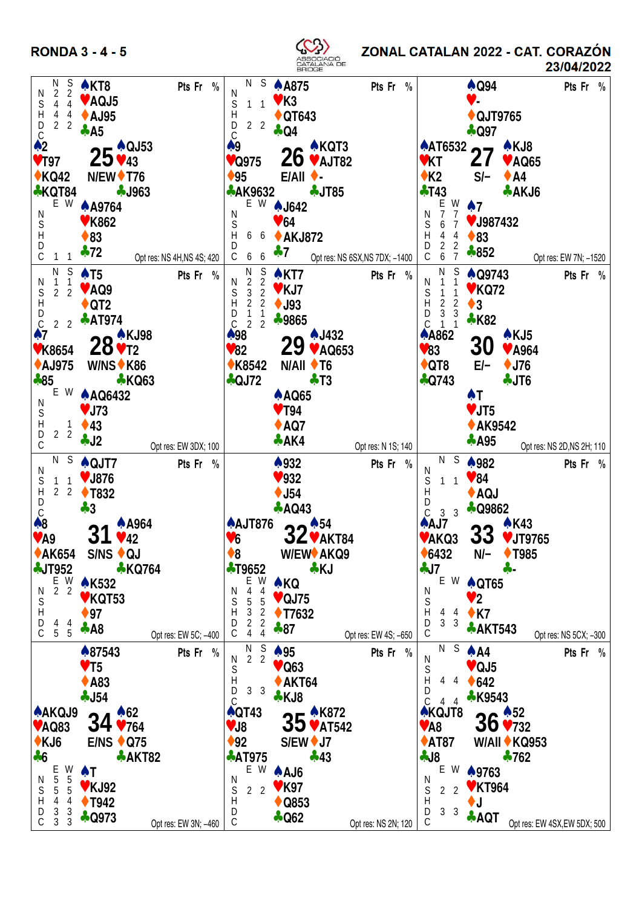**RONDA 3 - 4 - 5** 



ZONAL CATALAN 2022 - CAT. CORAZÓN 23/04/2022

| N<br>S                                                     | $\triangle$ KT8                              | Pts Fr %                                   | N S                                          | $\spadesuit$ A875            | Pts Fr %                       |                                                 | $\clubsuit$ Q94          | Pts Fr %                     |
|------------------------------------------------------------|----------------------------------------------|--------------------------------------------|----------------------------------------------|------------------------------|--------------------------------|-------------------------------------------------|--------------------------|------------------------------|
| 2<br>2<br>$\frac{1}{2}$<br>$\frac{1}{2}$                   |                                              | Ν                                          |                                              |                              |                                |                                                 |                          |                              |
| 4 4                                                        | VAQJ5                                        | S                                          | $1\quad1$                                    | $V$ K3                       |                                |                                                 | V.                       |                              |
| $4\quad 4$                                                 | <b>↑ AJ95</b>                                |                                            |                                              | ♦ QT643                      |                                |                                                 | ♦ QJT9765                |                              |
| 2 <sub>2</sub>                                             |                                              | $\begin{array}{c} H \\ D \\ C \end{array}$ | 2 <sub>2</sub>                               |                              |                                |                                                 |                          |                              |
|                                                            | $\clubsuit$ A5                               |                                            |                                              | <b>4 Q4</b>                  |                                |                                                 | $\clubsuit$ Q97          |                              |
|                                                            | $25*^{QJ53}_{43}$                            | A9                                         |                                              | $26 * KQT3$                  |                                |                                                 | $AT6532$ 27 $*$ KJ8      |                              |
| $V$ T97                                                    |                                              |                                            | ♥Q975                                        |                              |                                | VKT                                             | ♥ AQ65<br>Z 1            |                              |
|                                                            |                                              |                                            |                                              |                              |                                |                                                 |                          |                              |
| $\triangle$ KQ42                                           | $N/EW$ T76                                   | $\blacklozenge$ 95                         |                                              | $E/All$ $\rightarrow$        |                                | $\triangle$ K2                                  | $S/-$<br>$\triangle$ A4  |                              |
| <b>⊹KQT84</b>                                              | <b>4J963</b>                                 |                                            | <b>AK9632</b>                                | <b>4 JT85</b>                |                                | $+T43$                                          | $\clubsuit$ AKJ6         |                              |
| $E$ W                                                      |                                              |                                            |                                              |                              |                                | W<br>E                                          |                          |                              |
|                                                            | <b>A</b> A9764                               | N                                          |                                              | E W 1642                     |                                | N<br>$\overline{1}$<br>7                        | $\clubsuit$ 7            |                              |
|                                                            | <b>♥ K862</b>                                | $\mathbb S$                                |                                              | $\blacktriangledown 64$      |                                | $\mathbb S$<br>$\,6\,$<br>$\overline{7}$        | ♥ J987432                |                              |
|                                                            |                                              | H                                          |                                              | 6 6 ◆ AKJ872                 |                                |                                                 | $\triangle$ 83           |                              |
|                                                            | $\triangle$ 83                               | D                                          |                                              |                              |                                |                                                 |                          |                              |
| ODHOZ<br>$1 \quad 1$                                       | $\clubsuit$ 72<br>Opt res: NS 4H, NS 4S; 420 |                                            | $C$ 6 6                                      | $\clubsuit$ 7                | Opt res: NS 6SX, NS 7DX; -1400 | H     4     4<br>D     2     2<br>C     6     7 | $\clubsuit 852$          |                              |
|                                                            |                                              |                                            |                                              |                              |                                |                                                 |                          | Opt res: EW 7N; -1520        |
|                                                            | $\overline{N}$ S $\spadesuit$ T5             | Pts Fr %                                   | $\begin{matrix} N & S \\ 2 & 2 \end{matrix}$ | $\triangle$ KT7              | Pts Fr %                       | N S                                             | $\triangle$ Q9743        | Pts Fr %                     |
| $_\mathrm{S}^\mathrm{N}$<br>$\overline{1}$                 |                                              | N                                          |                                              |                              |                                | $\overline{1}$<br>N                             |                          |                              |
| 2 <sub>2</sub>                                             | VAQ9                                         | $\mathbb S$                                |                                              | $3\overline{2}$ VKJ7         |                                | S<br>$\mathbf{1}$                               | <b>♥ KQ72</b>            |                              |
| $\boldsymbol{\mathsf{H}}$                                  | $\triangle$ QT2                              | $\boldsymbol{\mathsf{H}}$                  |                                              | 2 2 $\bullet$ J93            |                                | $\mathsf{H}$<br>$\frac{2}{3}$<br>$\overline{2}$ | $\triangle$ 3            |                              |
| $\rm _C^D$                                                 | $\clubsuit$ AT974                            | $\frac{D}{C}$                              |                                              | ♣9865                        |                                | D<br>- 3                                        |                          |                              |
| 2 <sub>2</sub>                                             |                                              |                                            | $\begin{array}{c} 1\\ 2\\ 2 \end{array}$     |                              |                                | 1 <sub>1</sub><br>$\mathsf C$                   | <b>*K82</b>              |                              |
| $\clubsuit$ 7                                              | 20 A KJ98                                    | ₼98                                        |                                              | <b>AJ432</b>                 |                                | <b>AA862</b>                                    | $\triangle$ KJ5          |                              |
| <b>♥K8654</b>                                              | $20$ $\times$ T <sub>2</sub>                 | V82                                        |                                              | 29<br>♥ AQ653                |                                | $\blacktriangledown 83$                         | 30<br>♥ A964             |                              |
|                                                            |                                              |                                            |                                              |                              |                                |                                                 |                          |                              |
| <b>AJ975</b>                                               | W/NS $\blacklozenge$ K86                     |                                            | <b>★K8542</b>                                | $N/All$ $\blacklozenge$ T6   |                                | $\bigstar$ QT8                                  | $E/-$<br>$\triangle$ J76 |                              |
| $*85$                                                      | <b>*KQ63</b>                                 |                                            | $\bigcirc$ QJ72                              | $\clubsuit$ T <sub>3</sub>   |                                | $\clubsuit$ Q743                                | $\clubsuit$ JT6          |                              |
| E W                                                        |                                              |                                            |                                              |                              |                                |                                                 |                          |                              |
| N                                                          | <b>A AQ6432</b>                              |                                            |                                              | <b>A AQ65</b>                |                                |                                                 | AT.                      |                              |
|                                                            | $V$ J73                                      |                                            |                                              | $\blacktriangledown$ T94     |                                |                                                 | $V$ JT5                  |                              |
| S<br>D<br>D<br>C                                           | $1 \rightarrow 43$                           |                                            |                                              | $\triangle$ AQ7              |                                |                                                 |                          |                              |
| 2 <sub>2</sub>                                             |                                              |                                            |                                              |                              |                                |                                                 | <b>↑ AK9542</b>          |                              |
|                                                            | $\clubsuit$ J2                               |                                            |                                              | $\clubsuit$ AK4              | Opt res: N 1S; 140             |                                                 | $\clubsuit$ A95          | Opt res: NS 2D, NS 2H; 110   |
|                                                            | Opt res: EW 3DX; 100                         |                                            |                                              |                              |                                |                                                 |                          |                              |
|                                                            |                                              |                                            |                                              |                              |                                |                                                 |                          |                              |
|                                                            |                                              |                                            |                                              |                              |                                | N S                                             |                          |                              |
| N                                                          | $N$ S $\triangle$ QJT7                       | Pts Fr %                                   |                                              | $\clubsuit$ 932              | Pts Fr %                       | N                                               | $*982$                   | Pts Fr %                     |
| $1\quad1$                                                  | ♥ J876                                       |                                            |                                              | 932                          |                                | ${\mathbb S}$<br>$1 \quad 1$                    | $\sqrt{84}$              |                              |
| $\begin{array}{cccc}\nS & 1 & 1 \\ H & 2 & 2\n\end{array}$ |                                              |                                            |                                              |                              |                                | $\mathsf{H}$                                    |                          |                              |
|                                                            | <b>↑ T832</b>                                |                                            |                                              | $\blacklozenge$ J54          |                                | D                                               | ♦ AQJ                    |                              |
|                                                            | $*3$                                         |                                            |                                              | $\clubsuit$ AQ43             |                                | $C$ 3 3                                         | <b>A</b> Q9862           |                              |
|                                                            | <b>A</b> A964                                |                                            |                                              |                              |                                | A/J                                             | A K43                    |                              |
| $\overline{C}$<br>$\overline{8}$                           |                                              |                                            |                                              | $A$ AJT876 22 <sup>454</sup> |                                |                                                 |                          |                              |
| $V$ A9                                                     | 31<br>42                                     | V6                                         |                                              | $JZ$ v AKT84                 |                                | VAKQ3                                           | კკ<br>♥ JT9765           |                              |
| <b>◆ AK654</b>                                             | $S/NS$ + QJ                                  | $\clubsuit 8$                              |                                              | <b>W/EW◆ AKQ9</b>            |                                | • 6432                                          | $N/-$<br><b>↑ T985</b>   |                              |
|                                                            |                                              |                                            |                                              |                              |                                |                                                 |                          |                              |
| <b>AJT952</b>                                              | <b>*KQ764</b>                                |                                            | <b>⊹T9652</b>                                | ⊹KJ                          |                                | J7                                              | 수 -                      |                              |
|                                                            | <b>AK532</b>                                 |                                            | E W                                          | <b>AKQ</b>                   |                                | E W                                             | <b>A QT65</b>            |                              |
| $E$ W<br>2 2<br>N                                          |                                              | N                                          | 4<br>4                                       |                              |                                | N                                               |                          |                              |
| $\mathbb S$                                                | ♥ KQT53                                      |                                            | 5<br>$\sqrt{5}$                              | $\vee$ QJ75                  |                                | S                                               | $\mathbf{v}$ 2           |                              |
| $\boldsymbol{\mathsf{H}}$                                  | $\blacklozenge$ 97                           | S<br>H                                     | 3<br>$\overline{\mathbf{c}}$                 | <b>↑ T7632</b>               |                                | H<br>4 4                                        | $\triangle$ K7           |                              |
| 4                                                          |                                              | D                                          | $\overline{2}$                               |                              |                                | D<br>3 <sub>3</sub>                             |                          |                              |
| D<br>C<br>$\frac{4}{5}$<br>$\overline{5}$                  | $\clubsuit$ A8<br>Opt res: EW 5C; -400       | C                                          | $\frac{2}{4}$<br>4                           | $+87$                        | Opt res: EW 4S; -650           | С                                               | <b>AKT543</b>            | Opt res: NS 5CX; -300        |
|                                                            |                                              |                                            |                                              |                              |                                | N S                                             |                          |                              |
|                                                            | ♣87543                                       | Pts Fr<br>$\frac{0}{0}$<br>N               | $\frac{S}{2}$<br>$\frac{N}{2}$               | $\clubsuit$ 95               | Pts Fr<br>$\frac{0}{0}$        | N                                               | $\triangle$ A4           | Pts Fr %                     |
|                                                            | $V$ T <sub>5</sub>                           | S                                          |                                              | $\vee$ Q63                   |                                | S                                               | $\blacktriangledown$ QJ5 |                              |
|                                                            |                                              | $\mathsf{H}$                               |                                              |                              |                                | Н<br>4<br>-4                                    |                          |                              |
|                                                            | $\triangle$ A83                              | D                                          | 3 <sup>3</sup>                               | $\triangle$ AKT64            |                                | D                                               | $\triangle$ 642          |                              |
|                                                            | $-154$                                       | $\overline{C}$                             |                                              | *KJ8                         |                                | C<br>$\overline{4}$<br>$\overline{4}$           | <b>*K9543</b>            |                              |
| <b>AAKQJ9</b>                                              | $\sqrt{62}$                                  |                                            | $\bigwedge$ QT43                             |                              |                                |                                                 |                          |                              |
|                                                            |                                              |                                            |                                              |                              |                                | <b>AKQJT8</b>                                   |                          |                              |
| <b>VAQ83</b>                                               | $34*184*764*$                                | VJ8                                        |                                              | 35 <sup>*K872</sup>          |                                | $V$ A8                                          | $36*52*732*$             |                              |
| $\triangle$ KJ6                                            | $E/NS + Q75$                                 | $\blacklozenge$ 92                         |                                              | S/EW ♦ J7                    |                                | $\triangle$ AT87                                | <b>W/All ♦ KQ953</b>     |                              |
|                                                            |                                              |                                            |                                              |                              |                                |                                                 |                          |                              |
| $+6$                                                       | <b>AKT82</b>                                 |                                            | <b>AT975</b>                                 | $+43$                        |                                | $-18$                                           | $\clubsuit$ 762          |                              |
| W                                                          | AT                                           |                                            | E W                                          | A AJ6                        |                                | E<br>W                                          | ♠9763                    |                              |
| 5<br>N                                                     |                                              | N                                          |                                              |                              |                                | N                                               |                          |                              |
| E<br>5<br>5<br>$\mathbb S$<br>5                            | <b>♥ KJ92</b>                                | S                                          | 2 <sub>2</sub>                               | $V$ K97                      |                                | S<br>$\overline{2}$<br>$\overline{2}$           | ♥ KT964                  |                              |
| H<br>4<br>4                                                | $\blacklozenge$ T942                         | Н                                          |                                              | $\triangle$ Q853             |                                | H                                               | ♦J                       |                              |
| $\frac{3}{3}$<br>$\frac{D}{C}$<br>3<br>$\mathbf{3}$        | $\clubsuit$ Q973<br>Opt res: EW 3N; -460     | D<br>C                                     |                                              | $\clubsuit$ Q62              | Opt res: NS 2N; 120            | 3 <sup>3</sup><br>D<br>С                        | * AQT                    | Opt res: EW 4SX, EW 5DX; 500 |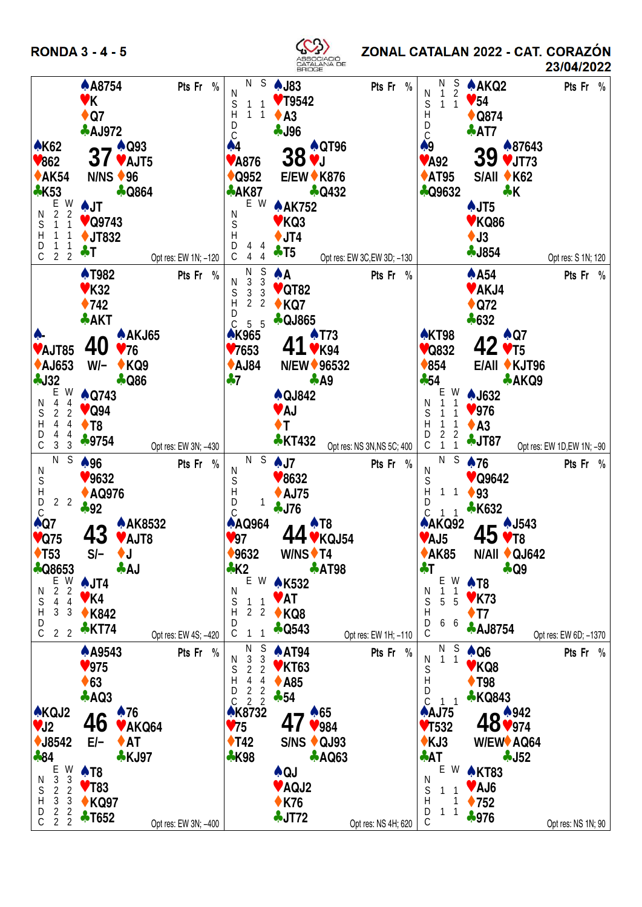**RONDA 3 - 4 - 5** 



ZONAL CATALAN 2022 - CAT. CORAZÓN

23/04/2022